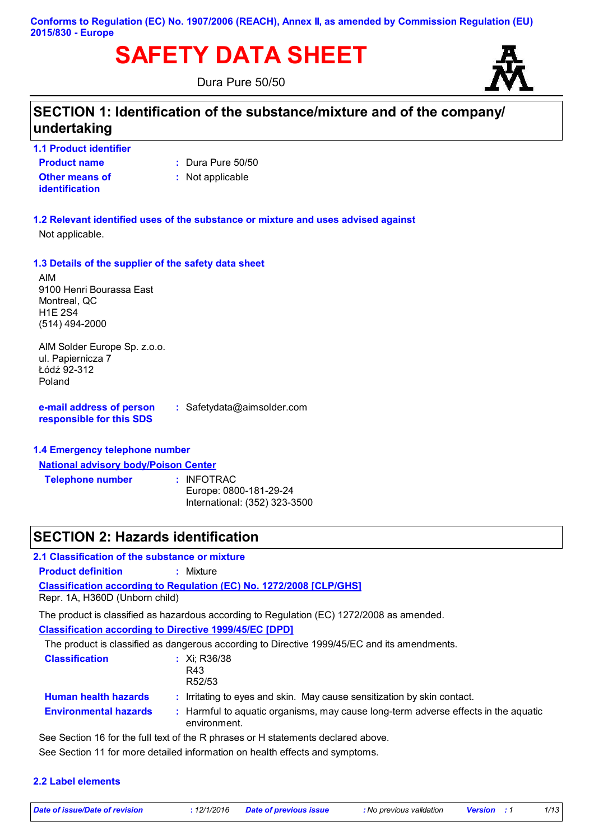# **SAFETY DATA SHEET**

Dura Pure 50/50



## **SECTION 1: Identification of the substance/mixture and of the company/ undertaking**

**1.1 Product identifier**

- **Product name**
- **:** Dura Pure 50/50

**Other means of identification**

**:** Not applicable

### **1.2 Relevant identified uses of the substance or mixture and uses advised against**

Not applicable.

### **1.3 Details of the supplier of the safety data sheet**

AIM 9100 Henri Bourassa East Montreal, QC H1E 2S4 (514) 494-2000

AIM Solder Europe Sp. z.o.o. ul. Papiernicza 7 Łódź 92-312 Poland

**e-mail address of person responsible for this SDS :** Safetydata@aimsolder.com

### **1.4 Emergency telephone number**

**National advisory body/Poison Center**

**Telephone number :** : INFOTRAC Europe: 0800-181-29-24 International: (352) 323-3500

### **SECTION 2: Hazards identification**

### **2.1 Classification of the substance or mixture**

**Product definition :** Mixture

**Classification according to Regulation (EC) No. 1272/2008 [CLP/GHS]**

Repr. 1A, H360D (Unborn child)

The product is classified as hazardous according to Regulation (EC) 1272/2008 as amended.

**Classification according to Directive 1999/45/EC [DPD]**

The product is classified as dangerous according to Directive 1999/45/EC and its amendments.

| <b>Classification</b>        | : $Xi$ ; R36/38                                                                                    |
|------------------------------|----------------------------------------------------------------------------------------------------|
|                              | R43                                                                                                |
|                              | R <sub>52</sub> /53                                                                                |
| <b>Human health hazards</b>  | : Irritating to eyes and skin. May cause sensitization by skin contact.                            |
| <b>Environmental hazards</b> | : Harmful to aquatic organisms, may cause long-term adverse effects in the aquatic<br>environment. |
|                              |                                                                                                    |

See Section 16 for the full text of the R phrases or H statements declared above.

See Section 11 for more detailed information on health effects and symptoms.

**2.2 Label elements**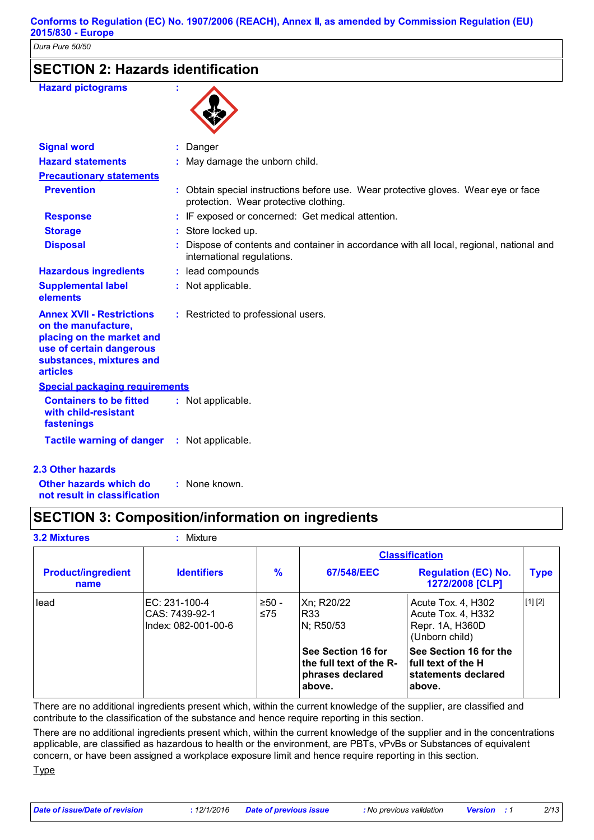## **SECTION 2: Hazards identification**

| <b>Hazard pictograms</b> |  |
|--------------------------|--|
|                          |  |



|                                                                                                                                                          | $\sim$                                                                                                                      |
|----------------------------------------------------------------------------------------------------------------------------------------------------------|-----------------------------------------------------------------------------------------------------------------------------|
| <b>Signal word</b>                                                                                                                                       | Danger                                                                                                                      |
| <b>Hazard statements</b>                                                                                                                                 | : May damage the unborn child.                                                                                              |
| <b>Precautionary statements</b>                                                                                                                          |                                                                                                                             |
| <b>Prevention</b>                                                                                                                                        | : Obtain special instructions before use. Wear protective gloves. Wear eye or face<br>protection. Wear protective clothing. |
| <b>Response</b>                                                                                                                                          | : IF exposed or concerned: Get medical attention.                                                                           |
| <b>Storage</b>                                                                                                                                           | : Store locked up.                                                                                                          |
| <b>Disposal</b>                                                                                                                                          | Dispose of contents and container in accordance with all local, regional, national and<br>international regulations.        |
| <b>Hazardous ingredients</b>                                                                                                                             | : lead compounds                                                                                                            |
| <b>Supplemental label</b><br>elements                                                                                                                    | : Not applicable.                                                                                                           |
| <b>Annex XVII - Restrictions</b><br>on the manufacture,<br>placing on the market and<br>use of certain dangerous<br>substances, mixtures and<br>articles | : Restricted to professional users.                                                                                         |
| <b>Special packaging requirements</b>                                                                                                                    |                                                                                                                             |
| <b>Containers to be fitted</b><br>with child-resistant<br>fastenings                                                                                     | : Not applicable.                                                                                                           |
| <b>Tactile warning of danger : Not applicable.</b>                                                                                                       |                                                                                                                             |
| <b>3 Athor hazarde</b>                                                                                                                                   |                                                                                                                             |

### **2.3 Other hazards**

**Other hazards which do : not result in classification** : None known.

## **SECTION 3: Composition/information on ingredients**

| <b>3.2 Mixtures</b>               | $:$ Mixture                                            |               |                                                                             |                                                                                 |             |
|-----------------------------------|--------------------------------------------------------|---------------|-----------------------------------------------------------------------------|---------------------------------------------------------------------------------|-------------|
|                                   |                                                        |               | <b>Classification</b>                                                       |                                                                                 |             |
| <b>Product/ingredient</b><br>name | <b>Identifiers</b>                                     | %             | 67/548/EEC                                                                  | <b>Regulation (EC) No.</b><br>1272/2008 [CLP]                                   | <b>Type</b> |
| lead                              | EC: 231-100-4<br>CAS: 7439-92-1<br>Index: 082-001-00-6 | $>50-$<br>≤75 | Xn: R20/22<br>R <sub>33</sub><br>N; R50/53                                  | Acute Tox. 4, H302<br>Acute Tox. 4, H332<br>Repr. 1A, H360D<br>(Unborn child)   | [1] [2]     |
|                                   |                                                        |               | See Section 16 for<br>the full text of the R-<br>phrases declared<br>above. | See Section 16 for the<br>l full text of the H<br>statements declared<br>above. |             |

There are no additional ingredients present which, within the current knowledge of the supplier, are classified and contribute to the classification of the substance and hence require reporting in this section.

There are no additional ingredients present which, within the current knowledge of the supplier and in the concentrations applicable, are classified as hazardous to health or the environment, are PBTs, vPvBs or Substances of equivalent concern, or have been assigned a workplace exposure limit and hence require reporting in this section.

Type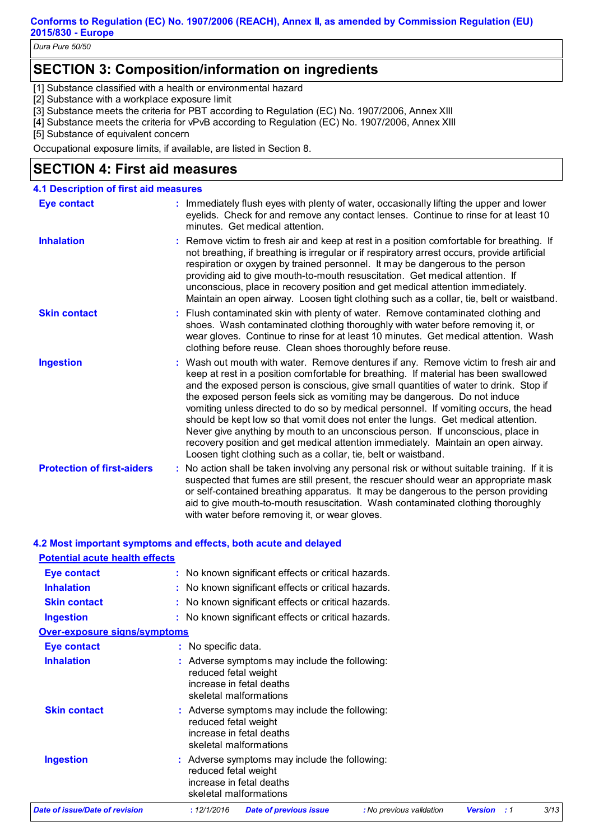**Conforms to Regulation (EC) No. 1907/2006 (REACH), Annex II, as amended by Commission Regulation (EU) 2015/830 - Europe**

*Dura Pure 50/50*

## **SECTION 3: Composition/information on ingredients**

[1] Substance classified with a health or environmental hazard

[2] Substance with a workplace exposure limit

[3] Substance meets the criteria for PBT according to Regulation (EC) No. 1907/2006, Annex XIII

[4] Substance meets the criteria for vPvB according to Regulation (EC) No. 1907/2006, Annex XIII

[5] Substance of equivalent concern

Occupational exposure limits, if available, are listed in Section 8.

## **SECTION 4: First aid measures**

| <b>4.1 Description of first aid measures</b> |                                                                                                                                                                                                                                                                                                                                                                                                                                                                                                                                                                                                                                                                                                                                                                           |
|----------------------------------------------|---------------------------------------------------------------------------------------------------------------------------------------------------------------------------------------------------------------------------------------------------------------------------------------------------------------------------------------------------------------------------------------------------------------------------------------------------------------------------------------------------------------------------------------------------------------------------------------------------------------------------------------------------------------------------------------------------------------------------------------------------------------------------|
| <b>Eye contact</b>                           | : Immediately flush eyes with plenty of water, occasionally lifting the upper and lower<br>eyelids. Check for and remove any contact lenses. Continue to rinse for at least 10<br>minutes. Get medical attention.                                                                                                                                                                                                                                                                                                                                                                                                                                                                                                                                                         |
| <b>Inhalation</b>                            | : Remove victim to fresh air and keep at rest in a position comfortable for breathing. If<br>not breathing, if breathing is irregular or if respiratory arrest occurs, provide artificial<br>respiration or oxygen by trained personnel. It may be dangerous to the person<br>providing aid to give mouth-to-mouth resuscitation. Get medical attention. If<br>unconscious, place in recovery position and get medical attention immediately.<br>Maintain an open airway. Loosen tight clothing such as a collar, tie, belt or waistband.                                                                                                                                                                                                                                 |
| <b>Skin contact</b>                          | : Flush contaminated skin with plenty of water. Remove contaminated clothing and<br>shoes. Wash contaminated clothing thoroughly with water before removing it, or<br>wear gloves. Continue to rinse for at least 10 minutes. Get medical attention. Wash<br>clothing before reuse. Clean shoes thoroughly before reuse.                                                                                                                                                                                                                                                                                                                                                                                                                                                  |
| <b>Ingestion</b>                             | : Wash out mouth with water. Remove dentures if any. Remove victim to fresh air and<br>keep at rest in a position comfortable for breathing. If material has been swallowed<br>and the exposed person is conscious, give small quantities of water to drink. Stop if<br>the exposed person feels sick as vomiting may be dangerous. Do not induce<br>vomiting unless directed to do so by medical personnel. If vomiting occurs, the head<br>should be kept low so that vomit does not enter the lungs. Get medical attention.<br>Never give anything by mouth to an unconscious person. If unconscious, place in<br>recovery position and get medical attention immediately. Maintain an open airway.<br>Loosen tight clothing such as a collar, tie, belt or waistband. |
| <b>Protection of first-aiders</b>            | : No action shall be taken involving any personal risk or without suitable training. If it is<br>suspected that fumes are still present, the rescuer should wear an appropriate mask<br>or self-contained breathing apparatus. It may be dangerous to the person providing<br>aid to give mouth-to-mouth resuscitation. Wash contaminated clothing thoroughly<br>with water before removing it, or wear gloves.                                                                                                                                                                                                                                                                                                                                                           |

### **4.2 Most important symptoms and effects, both acute and delayed**

| <b>Potential acute health effects</b> |                                                                                                                             |
|---------------------------------------|-----------------------------------------------------------------------------------------------------------------------------|
| <b>Eye contact</b>                    | : No known significant effects or critical hazards.                                                                         |
| <b>Inhalation</b>                     | : No known significant effects or critical hazards.                                                                         |
| <b>Skin contact</b>                   | : No known significant effects or critical hazards.                                                                         |
| <b>Ingestion</b>                      | : No known significant effects or critical hazards.                                                                         |
| <u>Over-exposure signs/symptoms</u>   |                                                                                                                             |
| <b>Eye contact</b>                    | : No specific data.                                                                                                         |
| <b>Inhalation</b>                     | : Adverse symptoms may include the following:<br>reduced fetal weight<br>increase in fetal deaths<br>skeletal malformations |
| <b>Skin contact</b>                   | : Adverse symptoms may include the following:<br>reduced fetal weight<br>increase in fetal deaths<br>skeletal malformations |
| <b>Ingestion</b>                      | : Adverse symptoms may include the following:<br>reduced fetal weight<br>increase in fetal deaths<br>skeletal malformations |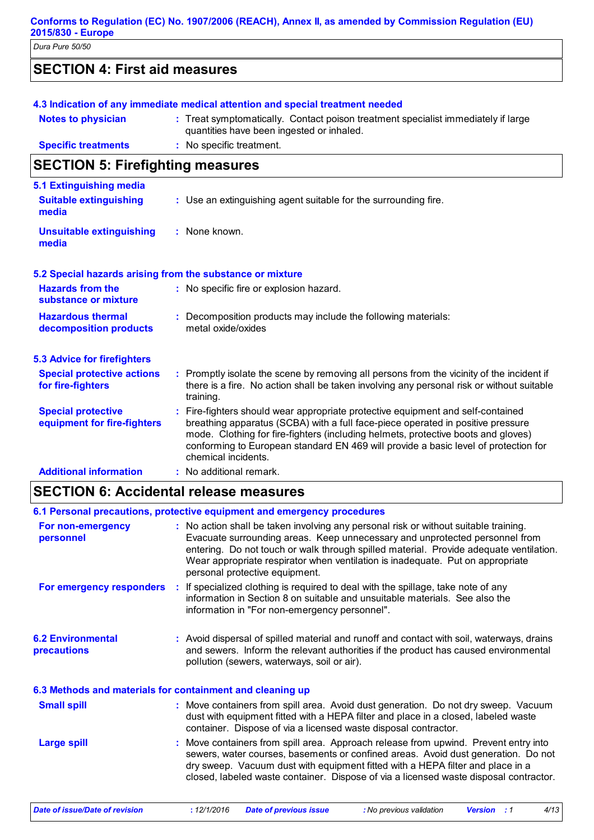#### **Conforms to Regulation (EC) No. 1907/2006 (REACH), Annex II, as amended by Commission Regulation (EU) 2015/830 - Europe**

*Dura Pure 50/50*

| <b>SECTION 4: First aid measures</b> |  |
|--------------------------------------|--|
|--------------------------------------|--|

| <b>Notes to physician</b>               | 4.3 Indication of any immediate medical attention and special treatment needed<br>: Treat symptomatically. Contact poison treatment specialist immediately if large<br>quantities have been ingested or inhaled. |
|-----------------------------------------|------------------------------------------------------------------------------------------------------------------------------------------------------------------------------------------------------------------|
| <b>Specific treatments</b>              | : No specific treatment.                                                                                                                                                                                         |
| <b>SECTION 5: Firefighting measures</b> |                                                                                                                                                                                                                  |

| 5.1 Extinguishing media                                   |    |                                                                                                                                                                                                                                                                                                                                                                     |
|-----------------------------------------------------------|----|---------------------------------------------------------------------------------------------------------------------------------------------------------------------------------------------------------------------------------------------------------------------------------------------------------------------------------------------------------------------|
| <b>Suitable extinguishing</b><br>media                    |    | : Use an extinguishing agent suitable for the surrounding fire.                                                                                                                                                                                                                                                                                                     |
| <b>Unsuitable extinguishing</b><br>media                  |    | $:$ None known.                                                                                                                                                                                                                                                                                                                                                     |
| 5.2 Special hazards arising from the substance or mixture |    |                                                                                                                                                                                                                                                                                                                                                                     |
| <b>Hazards from the</b><br>substance or mixture           |    | : No specific fire or explosion hazard.                                                                                                                                                                                                                                                                                                                             |
| <b>Hazardous thermal</b><br>decomposition products        |    | : Decomposition products may include the following materials:<br>metal oxide/oxides                                                                                                                                                                                                                                                                                 |
| <b>5.3 Advice for firefighters</b>                        |    |                                                                                                                                                                                                                                                                                                                                                                     |
| <b>Special protective actions</b><br>for fire-fighters    |    | : Promptly isolate the scene by removing all persons from the vicinity of the incident if<br>there is a fire. No action shall be taken involving any personal risk or without suitable<br>training.                                                                                                                                                                 |
| <b>Special protective</b><br>equipment for fire-fighters  | ÷. | Fire-fighters should wear appropriate protective equipment and self-contained<br>breathing apparatus (SCBA) with a full face-piece operated in positive pressure<br>mode. Clothing for fire-fighters (including helmets, protective boots and gloves)<br>conforming to European standard EN 469 will provide a basic level of protection for<br>chemical incidents. |
| <b>Additional information</b>                             |    | : No additional remark.                                                                                                                                                                                                                                                                                                                                             |

## **SECTION 6: Accidental release measures**

|                                                           |     | 6.1 Personal precautions, protective equipment and emergency procedures                                                                                                                                                                                                                                                                                                           |
|-----------------------------------------------------------|-----|-----------------------------------------------------------------------------------------------------------------------------------------------------------------------------------------------------------------------------------------------------------------------------------------------------------------------------------------------------------------------------------|
|                                                           |     |                                                                                                                                                                                                                                                                                                                                                                                   |
| For non-emergency<br>personnel                            |     | : No action shall be taken involving any personal risk or without suitable training.<br>Evacuate surrounding areas. Keep unnecessary and unprotected personnel from<br>entering. Do not touch or walk through spilled material. Provide adequate ventilation.<br>Wear appropriate respirator when ventilation is inadequate. Put on appropriate<br>personal protective equipment. |
| For emergency responders                                  | -11 | If specialized clothing is required to deal with the spillage, take note of any<br>information in Section 8 on suitable and unsuitable materials. See also the<br>information in "For non-emergency personnel".                                                                                                                                                                   |
| <b>6.2 Environmental</b><br>precautions                   |     | : Avoid dispersal of spilled material and runoff and contact with soil, waterways, drains<br>and sewers. Inform the relevant authorities if the product has caused environmental<br>pollution (sewers, waterways, soil or air).                                                                                                                                                   |
| 6.3 Methods and materials for containment and cleaning up |     |                                                                                                                                                                                                                                                                                                                                                                                   |
| <b>Small spill</b>                                        |     | : Move containers from spill area. Avoid dust generation. Do not dry sweep. Vacuum<br>dust with equipment fitted with a HEPA filter and place in a closed, labeled waste<br>container. Dispose of via a licensed waste disposal contractor.                                                                                                                                       |
| <b>Large spill</b>                                        |     | Move containers from spill area. Approach release from upwind. Prevent entry into<br>sewers, water courses, basements or confined areas. Avoid dust generation. Do not<br>dry sweep. Vacuum dust with equipment fitted with a HEPA filter and place in a<br>closed, labeled waste container. Dispose of via a licensed waste disposal contractor.                                 |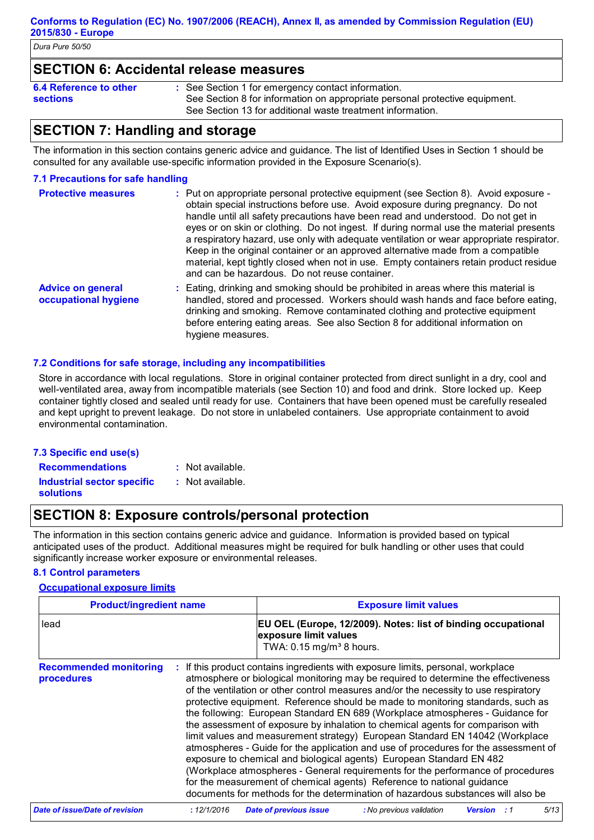### **SECTION 6: Accidental release measures**

| 6.4 Reference to other | : See Section 1 for emergency contact information.                          |
|------------------------|-----------------------------------------------------------------------------|
| <b>sections</b>        | See Section 8 for information on appropriate personal protective equipment. |
|                        | See Section 13 for additional waste treatment information.                  |
|                        |                                                                             |

## **SECTION 7: Handling and storage**

The information in this section contains generic advice and guidance. The list of Identified Uses in Section 1 should be consulted for any available use-specific information provided in the Exposure Scenario(s).

### **7.1 Precautions for safe handling**

| <b>Protective measures</b>                       | : Put on appropriate personal protective equipment (see Section 8). Avoid exposure -<br>obtain special instructions before use. Avoid exposure during pregnancy. Do not<br>handle until all safety precautions have been read and understood. Do not get in<br>eyes or on skin or clothing. Do not ingest. If during normal use the material presents<br>a respiratory hazard, use only with adequate ventilation or wear appropriate respirator.<br>Keep in the original container or an approved alternative made from a compatible<br>material, kept tightly closed when not in use. Empty containers retain product residue<br>and can be hazardous. Do not reuse container. |
|--------------------------------------------------|----------------------------------------------------------------------------------------------------------------------------------------------------------------------------------------------------------------------------------------------------------------------------------------------------------------------------------------------------------------------------------------------------------------------------------------------------------------------------------------------------------------------------------------------------------------------------------------------------------------------------------------------------------------------------------|
| <b>Advice on general</b><br>occupational hygiene | : Eating, drinking and smoking should be prohibited in areas where this material is<br>handled, stored and processed. Workers should wash hands and face before eating,<br>drinking and smoking. Remove contaminated clothing and protective equipment<br>before entering eating areas. See also Section 8 for additional information on                                                                                                                                                                                                                                                                                                                                         |

### **7.2 Conditions for safe storage, including any incompatibilities**

Store in accordance with local regulations. Store in original container protected from direct sunlight in a dry, cool and well-ventilated area, away from incompatible materials (see Section 10) and food and drink. Store locked up. Keep container tightly closed and sealed until ready for use. Containers that have been opened must be carefully resealed and kept upright to prevent leakage. Do not store in unlabeled containers. Use appropriate containment to avoid environmental contamination.

### **7.3 Specific end use(s)**

: Not available.

**Recommendations : Industrial sector specific : solutions**

: Not available.

hygiene measures.

## **SECTION 8: Exposure controls/personal protection**

The information in this section contains generic advice and guidance. Information is provided based on typical anticipated uses of the product. Additional measures might be required for bulk handling or other uses that could significantly increase worker exposure or environmental releases.

### **8.1 Control parameters**

### **Occupational exposure limits**

| <b>Product/ingredient name</b>              |  | <b>Exposure limit values</b>                                                                                                                                                                                                                                                                                                                                                                                                                                                                                                                                                                                                                                                                                                                                                                                                                                                                                                                                                                                          |  |  |
|---------------------------------------------|--|-----------------------------------------------------------------------------------------------------------------------------------------------------------------------------------------------------------------------------------------------------------------------------------------------------------------------------------------------------------------------------------------------------------------------------------------------------------------------------------------------------------------------------------------------------------------------------------------------------------------------------------------------------------------------------------------------------------------------------------------------------------------------------------------------------------------------------------------------------------------------------------------------------------------------------------------------------------------------------------------------------------------------|--|--|
| lead                                        |  | EU OEL (Europe, 12/2009). Notes: list of binding occupational<br>exposure limit values<br>TWA: 0.15 mg/m <sup>3</sup> 8 hours.                                                                                                                                                                                                                                                                                                                                                                                                                                                                                                                                                                                                                                                                                                                                                                                                                                                                                        |  |  |
| <b>Recommended monitoring</b><br>procedures |  | : If this product contains ingredients with exposure limits, personal, workplace<br>atmosphere or biological monitoring may be required to determine the effectiveness<br>of the ventilation or other control measures and/or the necessity to use respiratory<br>protective equipment. Reference should be made to monitoring standards, such as<br>the following: European Standard EN 689 (Workplace atmospheres - Guidance for<br>the assessment of exposure by inhalation to chemical agents for comparison with<br>limit values and measurement strategy) European Standard EN 14042 (Workplace<br>atmospheres - Guide for the application and use of procedures for the assessment of<br>exposure to chemical and biological agents) European Standard EN 482<br>(Workplace atmospheres - General requirements for the performance of procedures<br>for the measurement of chemical agents) Reference to national guidance<br>documents for methods for the determination of hazardous substances will also be |  |  |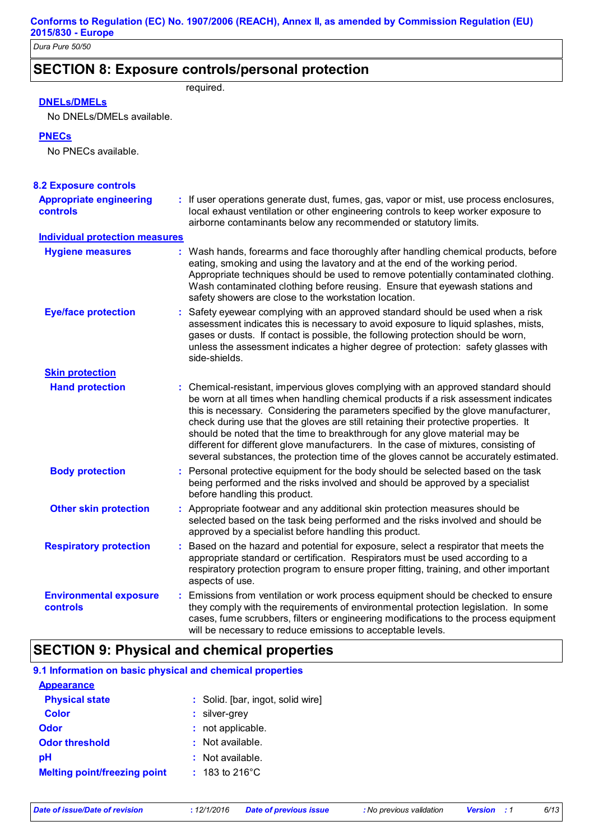## **SECTION 8: Exposure controls/personal protection**

## required.

### **DNELs/DMELs**

No DNELs/DMELs available.

### **PNECs**

No PNECs available.

| <b>8.2 Exposure controls</b>                      |    |                                                                                                                                                                                                                                                                                                                                                                                                                                                                                                                                                                                                                        |
|---------------------------------------------------|----|------------------------------------------------------------------------------------------------------------------------------------------------------------------------------------------------------------------------------------------------------------------------------------------------------------------------------------------------------------------------------------------------------------------------------------------------------------------------------------------------------------------------------------------------------------------------------------------------------------------------|
| <b>Appropriate engineering</b><br><b>controls</b> |    | : If user operations generate dust, fumes, gas, vapor or mist, use process enclosures,<br>local exhaust ventilation or other engineering controls to keep worker exposure to<br>airborne contaminants below any recommended or statutory limits.                                                                                                                                                                                                                                                                                                                                                                       |
| <b>Individual protection measures</b>             |    |                                                                                                                                                                                                                                                                                                                                                                                                                                                                                                                                                                                                                        |
| <b>Hygiene measures</b>                           |    | : Wash hands, forearms and face thoroughly after handling chemical products, before<br>eating, smoking and using the lavatory and at the end of the working period.<br>Appropriate techniques should be used to remove potentially contaminated clothing.<br>Wash contaminated clothing before reusing. Ensure that eyewash stations and<br>safety showers are close to the workstation location.                                                                                                                                                                                                                      |
| <b>Eye/face protection</b>                        | t. | Safety eyewear complying with an approved standard should be used when a risk<br>assessment indicates this is necessary to avoid exposure to liquid splashes, mists,<br>gases or dusts. If contact is possible, the following protection should be worn,<br>unless the assessment indicates a higher degree of protection: safety glasses with<br>side-shields.                                                                                                                                                                                                                                                        |
| <b>Skin protection</b>                            |    |                                                                                                                                                                                                                                                                                                                                                                                                                                                                                                                                                                                                                        |
| <b>Hand protection</b>                            |    | : Chemical-resistant, impervious gloves complying with an approved standard should<br>be worn at all times when handling chemical products if a risk assessment indicates<br>this is necessary. Considering the parameters specified by the glove manufacturer,<br>check during use that the gloves are still retaining their protective properties. It<br>should be noted that the time to breakthrough for any glove material may be<br>different for different glove manufacturers. In the case of mixtures, consisting of<br>several substances, the protection time of the gloves cannot be accurately estimated. |
| <b>Body protection</b>                            |    | : Personal protective equipment for the body should be selected based on the task<br>being performed and the risks involved and should be approved by a specialist<br>before handling this product.                                                                                                                                                                                                                                                                                                                                                                                                                    |
| <b>Other skin protection</b>                      |    | : Appropriate footwear and any additional skin protection measures should be<br>selected based on the task being performed and the risks involved and should be<br>approved by a specialist before handling this product.                                                                                                                                                                                                                                                                                                                                                                                              |
| <b>Respiratory protection</b>                     | ÷  | Based on the hazard and potential for exposure, select a respirator that meets the<br>appropriate standard or certification. Respirators must be used according to a<br>respiratory protection program to ensure proper fitting, training, and other important<br>aspects of use.                                                                                                                                                                                                                                                                                                                                      |
| <b>Environmental exposure</b><br><b>controls</b>  | ÷  | Emissions from ventilation or work process equipment should be checked to ensure<br>they comply with the requirements of environmental protection legislation. In some<br>cases, fume scrubbers, filters or engineering modifications to the process equipment<br>will be necessary to reduce emissions to acceptable levels.                                                                                                                                                                                                                                                                                          |

## **SECTION 9: Physical and chemical properties**

| 9.1 Information on basic physical and chemical properties |                                          |  |  |  |  |
|-----------------------------------------------------------|------------------------------------------|--|--|--|--|
| <b>Appearance</b>                                         |                                          |  |  |  |  |
| <b>Physical state</b>                                     | : Solid. [bar, ingot, solid wire]        |  |  |  |  |
| <b>Color</b>                                              | $:$ silver-grey                          |  |  |  |  |
| Odor                                                      | not applicable.                          |  |  |  |  |
| <b>Odor threshold</b>                                     | $:$ Not available.                       |  |  |  |  |
| рH                                                        | Not available.                           |  |  |  |  |
| <b>Melting point/freezing point</b>                       | $: 183 \text{ to } 216^{\circ} \text{C}$ |  |  |  |  |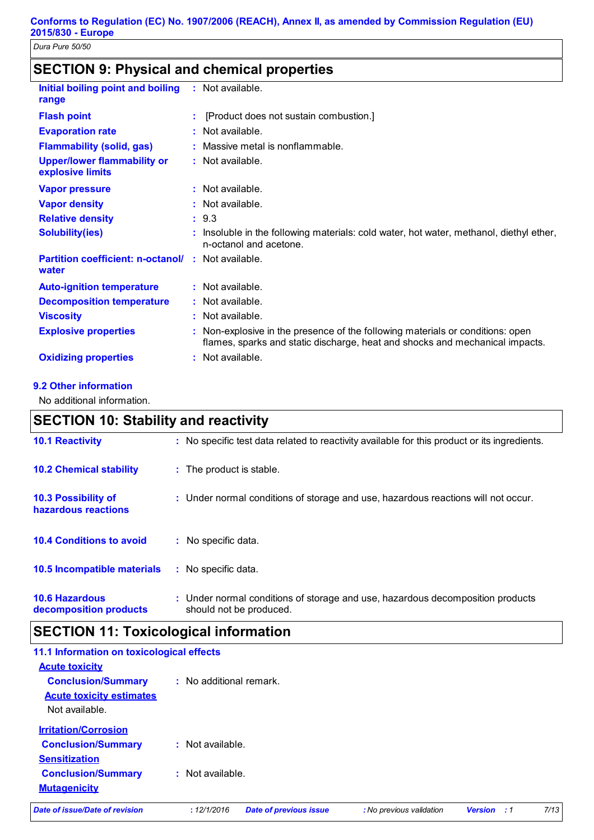## **SECTION 9: Physical and chemical properties**

| Initial boiling point and boiling<br>range                         | $:$ Not available.                                                                                                                                           |
|--------------------------------------------------------------------|--------------------------------------------------------------------------------------------------------------------------------------------------------------|
| <b>Flash point</b>                                                 | [Product does not sustain combustion.]                                                                                                                       |
| <b>Evaporation rate</b>                                            | Not available.                                                                                                                                               |
| <b>Flammability (solid, gas)</b>                                   | Massive metal is nonflammable.                                                                                                                               |
| <b>Upper/lower flammability or</b><br>explosive limits             | $:$ Not available.                                                                                                                                           |
| <b>Vapor pressure</b>                                              | $:$ Not available.                                                                                                                                           |
| <b>Vapor density</b>                                               | $:$ Not available.                                                                                                                                           |
| <b>Relative density</b>                                            | : 9.3                                                                                                                                                        |
| <b>Solubility(ies)</b>                                             | Insoluble in the following materials: cold water, hot water, methanol, diethyl ether,<br>n-octanol and acetone.                                              |
| <b>Partition coefficient: n-octanol/ : Not available.</b><br>water |                                                                                                                                                              |
| <b>Auto-ignition temperature</b>                                   | $:$ Not available.                                                                                                                                           |
| <b>Decomposition temperature</b>                                   | : Not available.                                                                                                                                             |
| <b>Viscosity</b>                                                   | Not available.                                                                                                                                               |
| <b>Explosive properties</b>                                        | Non-explosive in the presence of the following materials or conditions: open<br>flames, sparks and static discharge, heat and shocks and mechanical impacts. |
| <b>Oxidizing properties</b>                                        | Not available.                                                                                                                                               |

### **9.2 Other information**

No additional information.

## **SECTION 10: Stability and reactivity**

| <b>10.1 Reactivity</b>                            | : No specific test data related to reactivity available for this product or its ingredients.              |
|---------------------------------------------------|-----------------------------------------------------------------------------------------------------------|
| <b>10.2 Chemical stability</b>                    | : The product is stable.                                                                                  |
| <b>10.3 Possibility of</b><br>hazardous reactions | : Under normal conditions of storage and use, hazardous reactions will not occur.                         |
| <b>10.4 Conditions to avoid</b>                   | : No specific data.                                                                                       |
| <b>10.5 Incompatible materials</b>                | : No specific data.                                                                                       |
| <b>10.6 Hazardous</b><br>decomposition products   | : Under normal conditions of storage and use, hazardous decomposition products<br>should not be produced. |

## **SECTION 11: Toxicological information**

| 11.1 Information on toxicological effects |                         |                               |                          |                |     |      |
|-------------------------------------------|-------------------------|-------------------------------|--------------------------|----------------|-----|------|
| <b>Acute toxicity</b>                     |                         |                               |                          |                |     |      |
| <b>Conclusion/Summary</b>                 | : No additional remark. |                               |                          |                |     |      |
| <b>Acute toxicity estimates</b>           |                         |                               |                          |                |     |      |
| Not available.                            |                         |                               |                          |                |     |      |
| <b>Irritation/Corrosion</b>               |                         |                               |                          |                |     |      |
| <b>Conclusion/Summary</b>                 | : Not available.        |                               |                          |                |     |      |
| <b>Sensitization</b>                      |                         |                               |                          |                |     |      |
| <b>Conclusion/Summary</b>                 | $:$ Not available.      |                               |                          |                |     |      |
| <b>Mutagenicity</b>                       |                         |                               |                          |                |     |      |
| Date of issue/Date of revision            | : 12/1/2016             | <b>Date of previous issue</b> | : No previous validation | <b>Version</b> | - 1 | 7/13 |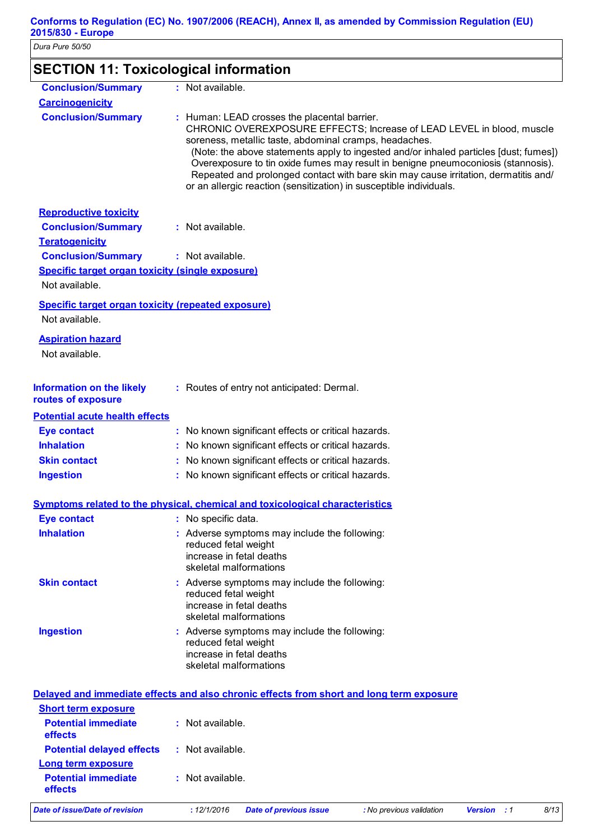| <b>SECTION 11: Toxicological information</b>              |                                                                                                                                                                                                                                                                                                                                                                                                                                                                                                                             |
|-----------------------------------------------------------|-----------------------------------------------------------------------------------------------------------------------------------------------------------------------------------------------------------------------------------------------------------------------------------------------------------------------------------------------------------------------------------------------------------------------------------------------------------------------------------------------------------------------------|
| <b>Conclusion/Summary</b>                                 | : Not available.                                                                                                                                                                                                                                                                                                                                                                                                                                                                                                            |
| <b>Carcinogenicity</b>                                    |                                                                                                                                                                                                                                                                                                                                                                                                                                                                                                                             |
| <b>Conclusion/Summary</b>                                 | : Human: LEAD crosses the placental barrier.<br>CHRONIC OVEREXPOSURE EFFECTS; Increase of LEAD LEVEL in blood, muscle<br>soreness, metallic taste, abdominal cramps, headaches.<br>(Note: the above statements apply to ingested and/or inhaled particles [dust; fumes])<br>Overexposure to tin oxide fumes may result in benigne pneumoconiosis (stannosis).<br>Repeated and prolonged contact with bare skin may cause irritation, dermatitis and/<br>or an allergic reaction (sensitization) in susceptible individuals. |
| <b>Reproductive toxicity</b>                              |                                                                                                                                                                                                                                                                                                                                                                                                                                                                                                                             |
| <b>Conclusion/Summary</b>                                 | : Not available.                                                                                                                                                                                                                                                                                                                                                                                                                                                                                                            |
| <b>Teratogenicity</b>                                     |                                                                                                                                                                                                                                                                                                                                                                                                                                                                                                                             |
| <b>Conclusion/Summary</b>                                 | : Not available.                                                                                                                                                                                                                                                                                                                                                                                                                                                                                                            |
| <b>Specific target organ toxicity (single exposure)</b>   |                                                                                                                                                                                                                                                                                                                                                                                                                                                                                                                             |
| Not available.                                            |                                                                                                                                                                                                                                                                                                                                                                                                                                                                                                                             |
| <b>Specific target organ toxicity (repeated exposure)</b> |                                                                                                                                                                                                                                                                                                                                                                                                                                                                                                                             |
| Not available.                                            |                                                                                                                                                                                                                                                                                                                                                                                                                                                                                                                             |
| <b>Aspiration hazard</b>                                  |                                                                                                                                                                                                                                                                                                                                                                                                                                                                                                                             |
| Not available.                                            |                                                                                                                                                                                                                                                                                                                                                                                                                                                                                                                             |
|                                                           |                                                                                                                                                                                                                                                                                                                                                                                                                                                                                                                             |
| <b>Information on the likely</b><br>routes of exposure    | : Routes of entry not anticipated: Dermal.                                                                                                                                                                                                                                                                                                                                                                                                                                                                                  |
| <b>Potential acute health effects</b>                     |                                                                                                                                                                                                                                                                                                                                                                                                                                                                                                                             |
| <b>Eye contact</b>                                        | : No known significant effects or critical hazards.                                                                                                                                                                                                                                                                                                                                                                                                                                                                         |
| <b>Inhalation</b>                                         | No known significant effects or critical hazards.                                                                                                                                                                                                                                                                                                                                                                                                                                                                           |
| <b>Skin contact</b>                                       | No known significant effects or critical hazards.                                                                                                                                                                                                                                                                                                                                                                                                                                                                           |
| <b>Ingestion</b>                                          | No known significant effects or critical hazards.                                                                                                                                                                                                                                                                                                                                                                                                                                                                           |
|                                                           | Symptoms related to the physical, chemical and toxicological characteristics                                                                                                                                                                                                                                                                                                                                                                                                                                                |
|                                                           | : No specific data.                                                                                                                                                                                                                                                                                                                                                                                                                                                                                                         |
| <b>Eye contact</b><br><b>Inhalation</b>                   |                                                                                                                                                                                                                                                                                                                                                                                                                                                                                                                             |
|                                                           | : Adverse symptoms may include the following:<br>reduced fetal weight<br>increase in fetal deaths<br>skeletal malformations                                                                                                                                                                                                                                                                                                                                                                                                 |
| <b>Skin contact</b>                                       | : Adverse symptoms may include the following:                                                                                                                                                                                                                                                                                                                                                                                                                                                                               |
|                                                           | reduced fetal weight                                                                                                                                                                                                                                                                                                                                                                                                                                                                                                        |
|                                                           | increase in fetal deaths                                                                                                                                                                                                                                                                                                                                                                                                                                                                                                    |
|                                                           | skeletal malformations                                                                                                                                                                                                                                                                                                                                                                                                                                                                                                      |
| <b>Ingestion</b>                                          | : Adverse symptoms may include the following:<br>reduced fetal weight<br>increase in fetal deaths                                                                                                                                                                                                                                                                                                                                                                                                                           |
|                                                           | skeletal malformations                                                                                                                                                                                                                                                                                                                                                                                                                                                                                                      |
|                                                           | Delayed and immediate effects and also chronic effects from short and long term exposure                                                                                                                                                                                                                                                                                                                                                                                                                                    |
| <b>Short term exposure</b>                                |                                                                                                                                                                                                                                                                                                                                                                                                                                                                                                                             |
| <b>Potential immediate</b>                                | : Not available.                                                                                                                                                                                                                                                                                                                                                                                                                                                                                                            |
| effects                                                   |                                                                                                                                                                                                                                                                                                                                                                                                                                                                                                                             |
| <b>Potential delayed effects</b>                          | : Not available.                                                                                                                                                                                                                                                                                                                                                                                                                                                                                                            |
| <b>Long term exposure</b>                                 |                                                                                                                                                                                                                                                                                                                                                                                                                                                                                                                             |
| <b>Potential immediate</b><br>effects                     | : Not available.                                                                                                                                                                                                                                                                                                                                                                                                                                                                                                            |

*Date of issue/Date of revision* **:** *12/1/2016 Date of previous issue : No previous validation Version : 1 8/13*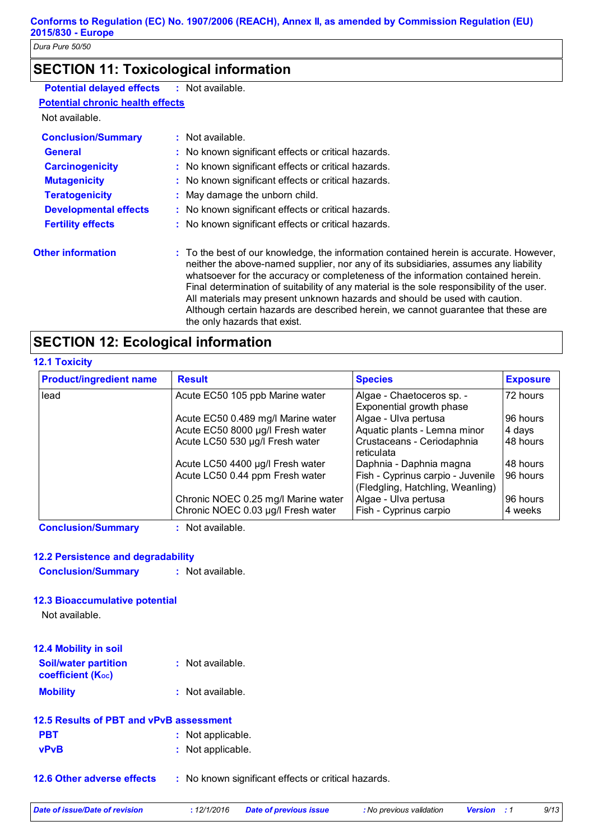## **SECTION 11: Toxicological information**

| <b>Potential delayed effects</b> | : Not available. |
|----------------------------------|------------------|
| Detential abusale baalth effects |                  |

## **Potential chronic health effects**

Not available.

| <b>Conclusion/Summary</b>    | $:$ Not available.                                                                                                                                                                                                                                                                                                                                                                                                                                                                                                                                                  |
|------------------------------|---------------------------------------------------------------------------------------------------------------------------------------------------------------------------------------------------------------------------------------------------------------------------------------------------------------------------------------------------------------------------------------------------------------------------------------------------------------------------------------------------------------------------------------------------------------------|
| <b>General</b>               | : No known significant effects or critical hazards.                                                                                                                                                                                                                                                                                                                                                                                                                                                                                                                 |
| <b>Carcinogenicity</b>       | : No known significant effects or critical hazards.                                                                                                                                                                                                                                                                                                                                                                                                                                                                                                                 |
| <b>Mutagenicity</b>          | : No known significant effects or critical hazards.                                                                                                                                                                                                                                                                                                                                                                                                                                                                                                                 |
| <b>Teratogenicity</b>        | : May damage the unborn child.                                                                                                                                                                                                                                                                                                                                                                                                                                                                                                                                      |
| <b>Developmental effects</b> | : No known significant effects or critical hazards.                                                                                                                                                                                                                                                                                                                                                                                                                                                                                                                 |
| <b>Fertility effects</b>     | : No known significant effects or critical hazards.                                                                                                                                                                                                                                                                                                                                                                                                                                                                                                                 |
| <b>Other information</b>     | : To the best of our knowledge, the information contained herein is accurate. However,<br>neither the above-named supplier, nor any of its subsidiaries, assumes any liability<br>whatsoever for the accuracy or completeness of the information contained herein.<br>Final determination of suitability of any material is the sole responsibility of the user.<br>All materials may present unknown hazards and should be used with caution.<br>Although certain hazards are described herein, we cannot guarantee that these are<br>the only hazards that exist. |

## **SECTION 12: Ecological information**

### **12.1 Toxicity**

| <b>Product/ingredient name</b> | <b>Result</b>                                                             | <b>Species</b>                                                        | <b>Exposure</b>     |
|--------------------------------|---------------------------------------------------------------------------|-----------------------------------------------------------------------|---------------------|
| lead                           | Acute EC50 105 ppb Marine water                                           | Algae - Chaetoceros sp. -<br>Exponential growth phase                 | 72 hours            |
|                                | Acute EC50 0.489 mg/l Marine water                                        | Algae - Ulva pertusa                                                  | 96 hours            |
|                                | Acute EC50 8000 µg/l Fresh water                                          | Aquatic plants - Lemna minor                                          | 4 days              |
|                                | Acute LC50 530 µg/l Fresh water                                           | Crustaceans - Ceriodaphnia<br>reticulata                              | 48 hours            |
|                                | Acute LC50 4400 µg/l Fresh water                                          | Daphnia - Daphnia magna                                               | 48 hours            |
|                                | Acute LC50 0.44 ppm Fresh water                                           | Fish - Cyprinus carpio - Juvenile<br>(Fledgling, Hatchling, Weanling) | 96 hours            |
|                                | Chronic NOEC 0.25 mg/l Marine water<br>Chronic NOEC 0.03 µg/l Fresh water | Algae - Ulva pertusa<br>Fish - Cyprinus carpio                        | 96 hours<br>4 weeks |

**Conclusion/Summary :** Not available.

### **12.2 Persistence and degradability**

**Conclusion/Summary :** Not available.

### **12.3 Bioaccumulative potential**

Not available.

| 12.4 Mobility in soil                            |                    |
|--------------------------------------------------|--------------------|
| <b>Soil/water partition</b><br>coefficient (Koc) | : Not available.   |
| <b>Mobility</b>                                  | $:$ Not available. |

| 12.5 Results of PBT and vPvB assessment |  |                   |  |
|-----------------------------------------|--|-------------------|--|
| <b>PBT</b>                              |  | : Not applicable. |  |
| <b>vPvB</b>                             |  | : Not applicable. |  |

**12.6 Other adverse effects** : No known significant effects or critical hazards.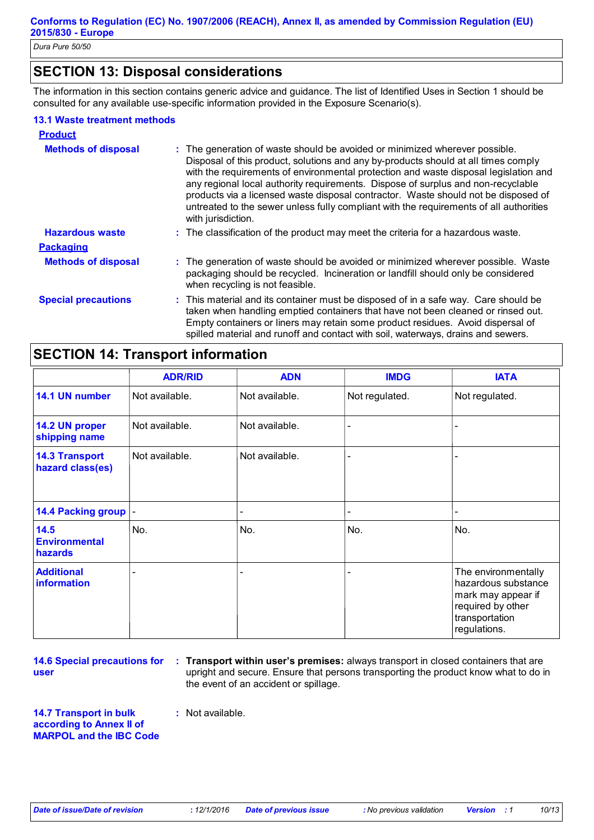## **SECTION 13: Disposal considerations**

The information in this section contains generic advice and guidance. The list of Identified Uses in Section 1 should be consulted for any available use-specific information provided in the Exposure Scenario(s).

### **13.1 Waste treatment methods**

| <b>Product</b>             |                                                                                                                                                                                                                                                                                                                                                                                                                                                                                                                                                     |
|----------------------------|-----------------------------------------------------------------------------------------------------------------------------------------------------------------------------------------------------------------------------------------------------------------------------------------------------------------------------------------------------------------------------------------------------------------------------------------------------------------------------------------------------------------------------------------------------|
| <b>Methods of disposal</b> | : The generation of waste should be avoided or minimized wherever possible.<br>Disposal of this product, solutions and any by-products should at all times comply<br>with the requirements of environmental protection and waste disposal legislation and<br>any regional local authority requirements. Dispose of surplus and non-recyclable<br>products via a licensed waste disposal contractor. Waste should not be disposed of<br>untreated to the sewer unless fully compliant with the requirements of all authorities<br>with jurisdiction. |
| <b>Hazardous waste</b>     | : The classification of the product may meet the criteria for a hazardous waste.                                                                                                                                                                                                                                                                                                                                                                                                                                                                    |
| <b>Packaging</b>           |                                                                                                                                                                                                                                                                                                                                                                                                                                                                                                                                                     |
| <b>Methods of disposal</b> | : The generation of waste should be avoided or minimized wherever possible. Waste<br>packaging should be recycled. Incineration or landfill should only be considered<br>when recycling is not feasible.                                                                                                                                                                                                                                                                                                                                            |
| <b>Special precautions</b> | : This material and its container must be disposed of in a safe way. Care should be<br>taken when handling emptied containers that have not been cleaned or rinsed out.<br>Empty containers or liners may retain some product residues. Avoid dispersal of<br>spilled material and runoff and contact with soil, waterways, drains and sewers.                                                                                                                                                                                                      |

## **SECTION 14: Transport information**

|                                           | <b>ADR/RID</b> | <b>ADN</b>     | <b>IMDG</b>    | <b>IATA</b>                                                                                                             |
|-------------------------------------------|----------------|----------------|----------------|-------------------------------------------------------------------------------------------------------------------------|
| 14.1 UN number                            | Not available. | Not available. | Not regulated. | Not regulated.                                                                                                          |
| 14.2 UN proper<br>shipping name           | Not available. | Not available. |                |                                                                                                                         |
| <b>14.3 Transport</b><br>hazard class(es) | Not available. | Not available. |                |                                                                                                                         |
| 14.4 Packing group  -                     |                |                |                |                                                                                                                         |
| 14.5<br><b>Environmental</b><br>hazards   | No.            | No.            | No.            | No.                                                                                                                     |
| <b>Additional</b><br>information          |                |                |                | The environmentally<br>hazardous substance<br>mark may appear if<br>required by other<br>transportation<br>regulations. |

**14.6 Special precautions for user**

**Transport within user's premises:** always transport in closed containers that are **:** upright and secure. Ensure that persons transporting the product know what to do in the event of an accident or spillage.

**14.7 Transport in bulk according to Annex II of MARPOL and the IBC Code** **:** Not available.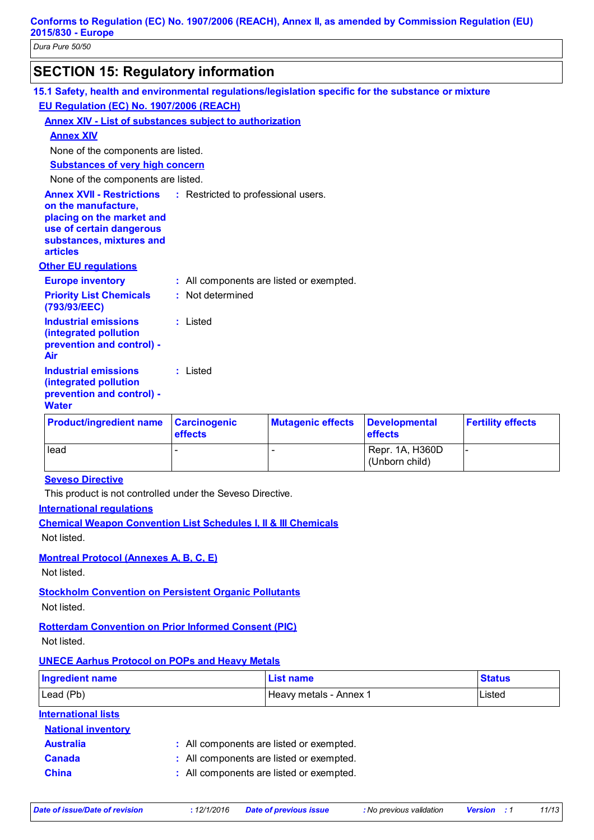| <b>SECTION 15: Regulatory information</b>                                                           |
|-----------------------------------------------------------------------------------------------------|
| 15.1 Safety, health and environmental regulations/legislation specific for the substance or mixture |
| <b>EU Regulation (EC) No. 1907/2006 (REACH)</b>                                                     |

### **Annex XIV - List of substances subject to authorization**

### **Annex XIV**

None of the components are listed.

**Substances of very high concern**

None of the components are listed.

**Annex XVII - Restrictions** : Restricted to professional users.

**on the manufacture, placing on the market and** 

**use of certain dangerous** 

**substances, mixtures and articles**

### **Other EU regulations**

| <b>Europe inventory</b>                              | : All components are listed or exempted. |
|------------------------------------------------------|------------------------------------------|
| <b>Priority List Chemicals</b><br>(793/93/EEC)       | : Not determined                         |
| <b>Industrial emissions</b><br>(integrated pollution | : Listed                                 |

**prevention and control) - Air**

**Industrial emissions :** Listed

#### **(integrated pollution prevention and control) -**

### **Water**

| <b>Product/ingredient name Carcinogenic</b> | <b>effects</b> | <b>Mutagenic effects</b> | <b>Developmental</b><br>effects   | <b>Fertility effects</b> |
|---------------------------------------------|----------------|--------------------------|-----------------------------------|--------------------------|
| lead                                        |                |                          | Repr. 1A, H360D<br>(Unborn child) |                          |

### **Seveso Directive**

This product is not controlled under the Seveso Directive.

### **International regulations**

**Chemical Weapon Convention List Schedules I, II & III Chemicals** Not listed.

### **Montreal Protocol (Annexes A, B, C, E)**

Not listed.

### **Stockholm Convention on Persistent Organic Pollutants**

Not listed.

### **Rotterdam Convention on Prior Informed Consent (PIC)**

Not listed.

### **UNECE Aarhus Protocol on POPs and Heavy Metals**

| <b>Ingredient name</b>     |                                          | <b>List name</b>       | <b>Status</b> |
|----------------------------|------------------------------------------|------------------------|---------------|
| Lead (Pb)                  |                                          | Heavy metals - Annex 1 | Listed        |
| <b>International lists</b> |                                          |                        |               |
| <b>National inventory</b>  |                                          |                        |               |
| <b>Australia</b>           | : All components are listed or exempted. |                        |               |
| <b>Canada</b>              | : All components are listed or exempted. |                        |               |
| <b>China</b>               | : All components are listed or exempted. |                        |               |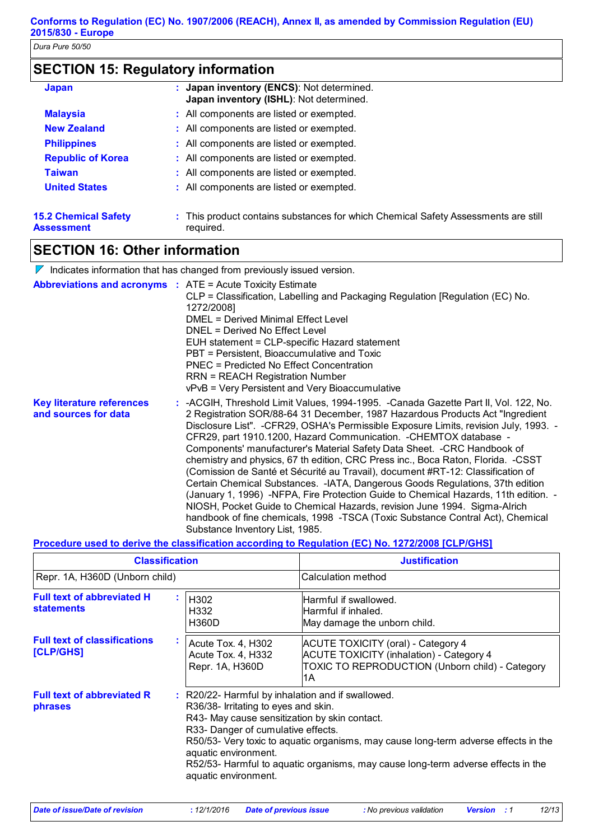## **SECTION 15: Regulatory information**

| <b>Japan</b>                                     | : Japan inventory (ENCS): Not determined.<br>Japan inventory (ISHL): Not determined.            |
|--------------------------------------------------|-------------------------------------------------------------------------------------------------|
| <b>Malaysia</b>                                  | : All components are listed or exempted.                                                        |
| <b>New Zealand</b>                               | : All components are listed or exempted.                                                        |
| <b>Philippines</b>                               | : All components are listed or exempted.                                                        |
| <b>Republic of Korea</b>                         | : All components are listed or exempted.                                                        |
| <b>Taiwan</b>                                    | : All components are listed or exempted.                                                        |
| <b>United States</b>                             | : All components are listed or exempted.                                                        |
| <b>15.2 Chemical Safety</b><br><b>Assessment</b> | : This product contains substances for which Chemical Safety Assessments are still<br>required. |

## **SECTION 16: Other information**

|                                                                   | Indicates information that has changed from previously issued version.                                                                                                                                                                                                                                                                                                                                                                                                                                                                                                                                                                                                                                                                                                                                                                                                                                                                                            |
|-------------------------------------------------------------------|-------------------------------------------------------------------------------------------------------------------------------------------------------------------------------------------------------------------------------------------------------------------------------------------------------------------------------------------------------------------------------------------------------------------------------------------------------------------------------------------------------------------------------------------------------------------------------------------------------------------------------------------------------------------------------------------------------------------------------------------------------------------------------------------------------------------------------------------------------------------------------------------------------------------------------------------------------------------|
| <b>Abbreviations and acronyms : ATE = Acute Toxicity Estimate</b> | CLP = Classification, Labelling and Packaging Regulation [Regulation (EC) No.<br>1272/20081<br>DMEL = Derived Minimal Effect Level<br>DNEL = Derived No Effect Level<br>EUH statement = CLP-specific Hazard statement<br>PBT = Persistent, Bioaccumulative and Toxic<br><b>PNEC = Predicted No Effect Concentration</b><br><b>RRN = REACH Registration Number</b><br>vPvB = Very Persistent and Very Bioaccumulative                                                                                                                                                                                                                                                                                                                                                                                                                                                                                                                                              |
| <b>Key literature references</b><br>and sources for data          | : -ACGIH, Threshold Limit Values, 1994-1995. -Canada Gazette Part II, Vol. 122, No.<br>2 Registration SOR/88-64 31 December, 1987 Hazardous Products Act "Ingredient"<br>Disclosure List". - CFR29, OSHA's Permissible Exposure Limits, revision July, 1993. -<br>CFR29, part 1910.1200, Hazard Communication. - CHEMTOX database -<br>Components' manufacturer's Material Safety Data Sheet. - CRC Handbook of<br>chemistry and physics, 67 th edition, CRC Press inc., Boca Raton, Florida. -CSST<br>(Comission de Santé et Sécurité au Travail), document #RT-12: Classification of<br>Certain Chemical Substances. - IATA, Dangerous Goods Regulations, 37th edition<br>(January 1, 1996) -NFPA, Fire Protection Guide to Chemical Hazards, 11th edition. -<br>NIOSH, Pocket Guide to Chemical Hazards, revision June 1994. Sigma-Alrich<br>handbook of fine chemicals, 1998 -TSCA (Toxic Substance Contral Act), Chemical<br>Substance Inventory List, 1985. |

### **Procedure used to derive the classification according to Regulation (EC) No. 1272/2008 [CLP/GHS]**

| <b>Classification</b>                                  |                                                                                                                                                                                                                                                                                                                                                                                                             | <b>Justification</b>                                                                                                                                          |
|--------------------------------------------------------|-------------------------------------------------------------------------------------------------------------------------------------------------------------------------------------------------------------------------------------------------------------------------------------------------------------------------------------------------------------------------------------------------------------|---------------------------------------------------------------------------------------------------------------------------------------------------------------|
| Repr. 1A, H360D (Unborn child)                         |                                                                                                                                                                                                                                                                                                                                                                                                             | Calculation method                                                                                                                                            |
| <b>Full text of abbreviated H</b><br><b>statements</b> | H <sub>302</sub><br>H332<br><b>H360D</b>                                                                                                                                                                                                                                                                                                                                                                    | Harmful if swallowed.<br>lHarmful if inhaled.<br>May damage the unborn child.                                                                                 |
| <b>Full text of classifications</b><br>[CLP/GHS]       | Acute Tox. 4, H302<br>Acute Tox. 4, H332<br>Repr. 1A, H360D                                                                                                                                                                                                                                                                                                                                                 | <b>ACUTE TOXICITY (oral) - Category 4</b><br><b>ACUTE TOXICITY (inhalation) - Category 4</b><br><b>TOXIC TO REPRODUCTION (Unborn child) - Category</b><br>l1A |
| <b>Full text of abbreviated R</b><br>phrases           | : R20/22- Harmful by inhalation and if swallowed.<br>R36/38- Irritating to eyes and skin.<br>R43- May cause sensitization by skin contact.<br>R33- Danger of cumulative effects.<br>R50/53- Very toxic to aquatic organisms, may cause long-term adverse effects in the<br>aquatic environment.<br>R52/53- Harmful to aquatic organisms, may cause long-term adverse effects in the<br>aquatic environment. |                                                                                                                                                               |